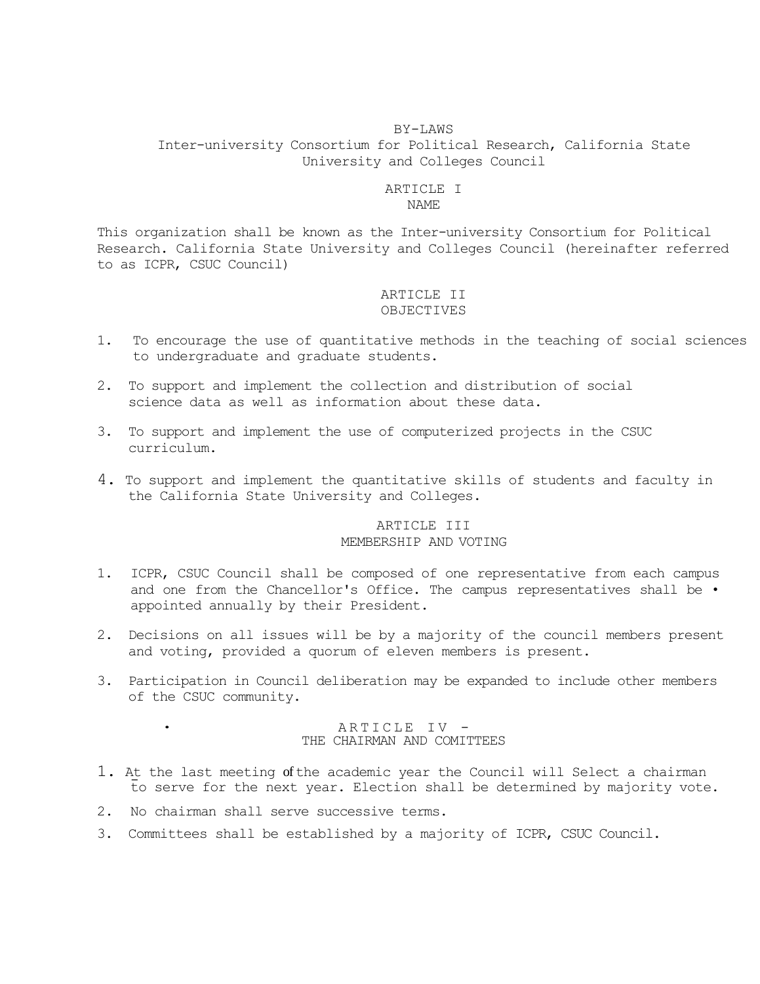#### BY-LAWS

 Inter-university Consortium for Political Research, California State University and Colleges Council

### ARTICLE I NAME

 This organization shall be known as the Inter-university Consortium for Political to as ICPR, CSUC Council) Research. California State University and Colleges Council (hereinafter referred

# ARTICLE II OBJECTIVES

- 1. To encourage the use of quantitative methods in the teaching of social sciences to undergraduate and graduate students.
- 2. To support and implement the collection and distribution of social science data as well as information about these data.
- 3. To support and implement the use of computerized projects in the CSUC curriculum.
- 4. To support and implement the quantitative skills of students and faculty in the California State University and Colleges.

# ARTICLE III MEMBERSHIP AND VOTING

- 1. ICPR, CSUC Council shall be composed of one representative from each campus and one from the Chancellor's Office. The campus representatives shall be . appointed annually by their President.
- 2. Decisions on all issues will be by a majority of the council members present and voting, provided a quorum of eleven members is present.
- 3. Participation in Council deliberation may be expanded to include other members of the CSUC community.

### ARTICLE IV -THE CHAIRMAN AND COMITTEES

- to serve for the next year. Election shall be determined by majority vote. 1. At the last meeting of the academic year the Council will Select a chairman
- 2. No chairman shall serve successive terms.
- 3. Committees shall be established by a majority of ICPR, CSUC Council.